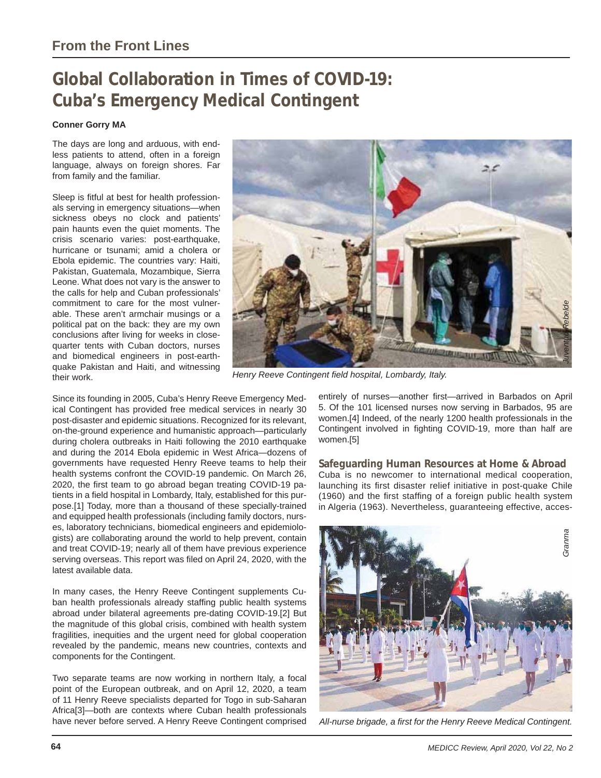# **Global Collaboration in Times of COVID-19: Cuba's Emergency Medical Contingent**

### **Conner Gorry MA**

The days are long and arduous, with endless patients to attend, often in a foreign language, always on foreign shores. Far from family and the familiar.

Sleep is fitful at best for health professionals serving in emergency situations—when sickness obeys no clock and patients' pain haunts even the quiet moments. The crisis scenario varies: post-earthquake, hurricane or tsunami; amid a cholera or Ebola epidemic. The countries vary: Haiti, Pakistan, Guatemala, Mozambique, Sierra Leone. What does not vary is the answer to the calls for help and Cuban professionals' commitment to care for the most vulnerable. These aren't armchair musings or a political pat on the back: they are my own conclusions after living for weeks in closequarter tents with Cuban doctors, nurses and biomedical engineers in post-earthquake Pakistan and Haiti, and witnessing their work.



Since its founding in 2005, Cuba's Henry Reeve Emergency Medical Contingent has provided free medical services in nearly 30 post-disaster and epidemic situations. Recognized for its relevant, on-the-ground experience and humanistic approach—particularly during cholera outbreaks in Haiti following the 2010 earthquake and during the 2014 Ebola epidemic in West Africa—dozens of governments have requested Henry Reeve teams to help their health systems confront the COVID-19 pandemic. On March 26, 2020, the first team to go abroad began treating COVID-19 patients in a field hospital in Lombardy, Italy, established for this purpose.[1] Today, more than a thousand of these specially-trained and equipped health professionals (including family doctors, nurses, laboratory technicians, biomedical engineers and epidemiologists) are collaborating around the world to help prevent, contain and treat COVID-19; nearly all of them have previous experience serving overseas. This report was filed on April 24, 2020, with the latest available data.

In many cases, the Henry Reeve Contingent supplements Cuban health professionals already staffing public health systems abroad under bilateral agreements pre-dating COVID-19.[2] But the magnitude of this global crisis, combined with health system fragilities, inequities and the urgent need for global cooperation revealed by the pandemic, means new countries, contexts and components for the Contingent.

Two separate teams are now working in northern Italy, a focal point of the European outbreak, and on April 12, 2020, a team of 11 Henry Reeve specialists departed for Togo in sub-Saharan Africa[3]—both are contexts where Cuban health professionals have never before served. A Henry Reeve Contingent comprised entirely of nurses—another first—arrived in Barbados on April 5. Of the 101 licensed nurses now serving in Barbados, 95 are women.[4] Indeed, of the nearly 1200 health professionals in the Contingent involved in fighting COVID-19, more than half are women.[5]

### **Safeguarding Human Resources at Home & Abroad**

Cuba is no newcomer to international medical cooperation, launching its first disaster relief initiative in post-quake Chile (1960) and the first staffing of a foreign public health system in Algeria (1963). Nevertheless, guaranteeing effective, acces-

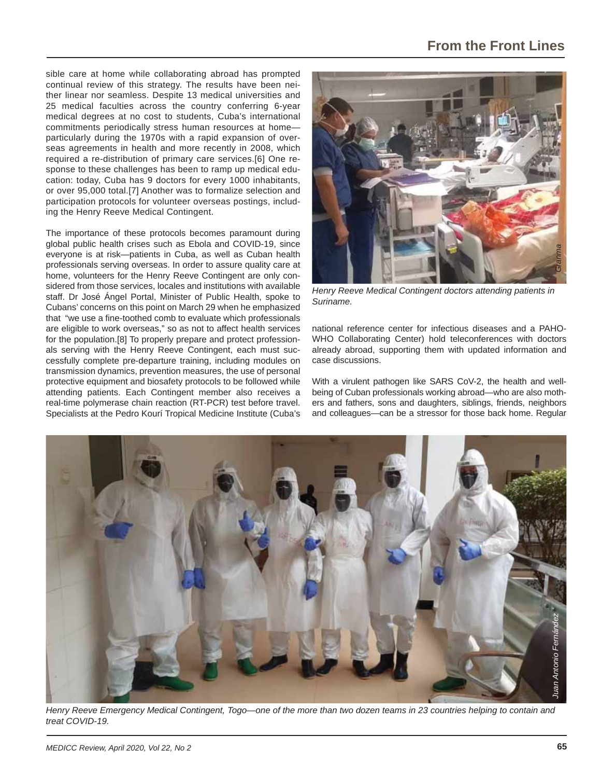sible care at home while collaborating abroad has prompted continual review of this strategy. The results have been neither linear nor seamless. Despite 13 medical universities and 25 medical faculties across the country conferring 6-year medical degrees at no cost to students, Cuba's international commitments periodically stress human resources at home particularly during the 1970s with a rapid expansion of overseas agreements in health and more recently in 2008, which required a re-distribution of primary care services.[6] One response to these challenges has been to ramp up medical education: today, Cuba has 9 doctors for every 1000 inhabitants, or over 95,000 total.[7] Another was to formalize selection and participation protocols for volunteer overseas postings, including the Henry Reeve Medical Contingent.

The importance of these protocols becomes paramount during global public health crises such as Ebola and COVID-19, since everyone is at risk—patients in Cuba, as well as Cuban health professionals serving overseas. In order to assure quality care at home, volunteers for the Henry Reeve Contingent are only considered from those services, locales and institutions with available staff. Dr José Ángel Portal, Minister of Public Health, spoke to Cubans' concerns on this point on March 29 when he emphasized that "we use a fine-toothed comb to evaluate which professionals are eligible to work overseas," so as not to affect health services for the population.[8] To properly prepare and protect professionals serving with the Henry Reeve Contingent, each must successfully complete pre-departure training, including modules on transmission dynamics, prevention measures, the use of personal protective equipment and biosafety protocols to be followed while attending patients. Each Contingent member also receives a real-time polymerase chain reaction (RT-PCR) test before travel. Specialists at the Pedro Kourí Tropical Medicine Institute (Cuba's



*Henry Reeve Medical Contingent doctors attending patients in Suriname.*

national reference center for infectious diseases and a PAHO-WHO Collaborating Center) hold teleconferences with doctors already abroad, supporting them with updated information and case discussions.

With a virulent pathogen like SARS CoV-2, the health and wellbeing of Cuban professionals working abroad—who are also mothers and fathers, sons and daughters, siblings, friends, neighbors and colleagues—can be a stressor for those back home. Regular



*Henry Reeve Emergency Medical Contingent, Togo—one of the more than two dozen teams in 23 countries helping to contain and treat COVID-19.*